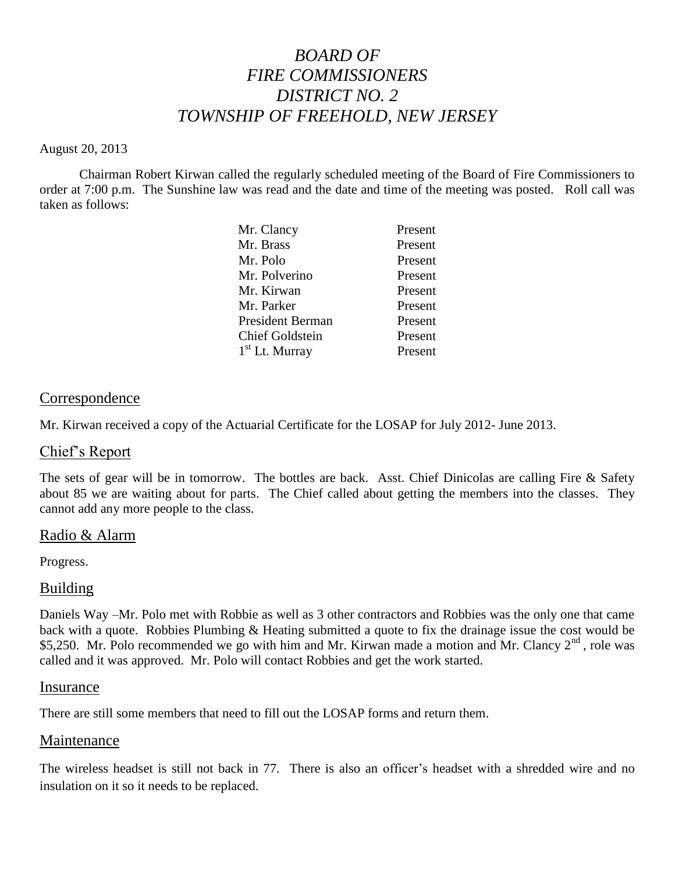# *BOARD OF FIRE COMMISSIONERS DISTRICT NO. 2 TOWNSHIP OF FREEHOLD, NEW JERSEY*

#### August 20, 2013

Chairman Robert Kirwan called the regularly scheduled meeting of the Board of Fire Commissioners to order at 7:00 p.m. The Sunshine law was read and the date and time of the meeting was posted. Roll call was taken as follows:

| Mr. Clancy              | Present |
|-------------------------|---------|
| Mr. Brass               | Present |
| Mr. Polo                | Present |
| Mr. Polverino           | Present |
| Mr. Kirwan              | Present |
| Mr. Parker              | Present |
| <b>President Berman</b> | Present |
| <b>Chief Goldstein</b>  | Present |
| $1st$ Lt. Murray        | Present |
|                         |         |

### **Correspondence**

Mr. Kirwan received a copy of the Actuarial Certificate for the LOSAP for July 2012- June 2013.

### Chief's Report

The sets of gear will be in tomorrow. The bottles are back. Asst. Chief Dinicolas are calling Fire & Safety about 85 we are waiting about for parts. The Chief called about getting the members into the classes. They cannot add any more people to the class.

### Radio & Alarm

Progress.

### Building

Daniels Way –Mr. Polo met with Robbie as well as 3 other contractors and Robbies was the only one that came back with a quote. Robbies Plumbing & Heating submitted a quote to fix the drainage issue the cost would be \$5,250. Mr. Polo recommended we go with him and Mr. Kirwan made a motion and Mr. Clancy 2<sup>nd</sup>, role was called and it was approved. Mr. Polo will contact Robbies and get the work started.

### Insurance

There are still some members that need to fill out the LOSAP forms and return them.

### Maintenance

The wireless headset is still not back in 77. There is also an officer's headset with a shredded wire and no insulation on it so it needs to be replaced.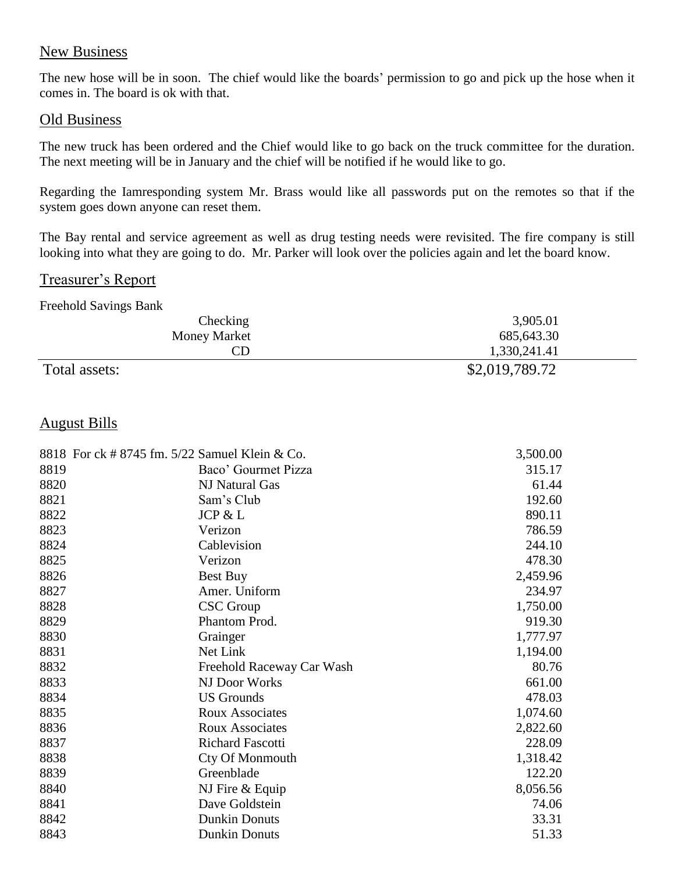# New Business

The new hose will be in soon. The chief would like the boards' permission to go and pick up the hose when it comes in. The board is ok with that.

#### Old Business

The new truck has been ordered and the Chief would like to go back on the truck committee for the duration. The next meeting will be in January and the chief will be notified if he would like to go.

Regarding the Iamresponding system Mr. Brass would like all passwords put on the remotes so that if the system goes down anyone can reset them.

The Bay rental and service agreement as well as drug testing needs were revisited. The fire company is still looking into what they are going to do. Mr. Parker will look over the policies again and let the board know.

# Treasurer's Report

| <b>Freehold Savings Bank</b> |                |
|------------------------------|----------------|
| Checking                     | 3,905.01       |
| <b>Money Market</b>          | 685, 643. 30   |
| CD                           | 1,330,241.41   |
| Total assets:                | \$2,019,789.72 |

# August Bills

|      | 8818 For ck # 8745 fm. 5/22 Samuel Klein & Co. | 3,500.00 |
|------|------------------------------------------------|----------|
| 8819 | Baco' Gourmet Pizza                            | 315.17   |
| 8820 | NJ Natural Gas                                 | 61.44    |
| 8821 | Sam's Club                                     | 192.60   |
| 8822 | JCP & L                                        | 890.11   |
| 8823 | Verizon                                        | 786.59   |
| 8824 | Cablevision                                    | 244.10   |
| 8825 | Verizon                                        | 478.30   |
| 8826 | Best Buy                                       | 2,459.96 |
| 8827 | Amer. Uniform                                  | 234.97   |
| 8828 | <b>CSC</b> Group                               | 1,750.00 |
| 8829 | Phantom Prod.                                  | 919.30   |
| 8830 | Grainger                                       | 1,777.97 |
| 8831 | Net Link                                       | 1,194.00 |
| 8832 | Freehold Raceway Car Wash                      | 80.76    |
| 8833 | NJ Door Works                                  | 661.00   |
| 8834 | <b>US</b> Grounds                              | 478.03   |
| 8835 | <b>Roux Associates</b>                         | 1,074.60 |
| 8836 | <b>Roux Associates</b>                         | 2,822.60 |
| 8837 | <b>Richard Fascotti</b>                        | 228.09   |
| 8838 | Cty Of Monmouth                                | 1,318.42 |
| 8839 | Greenblade                                     | 122.20   |
| 8840 | NJ Fire & Equip                                | 8,056.56 |
| 8841 | Dave Goldstein                                 | 74.06    |
| 8842 | <b>Dunkin Donuts</b>                           | 33.31    |
| 8843 | <b>Dunkin Donuts</b>                           | 51.33    |